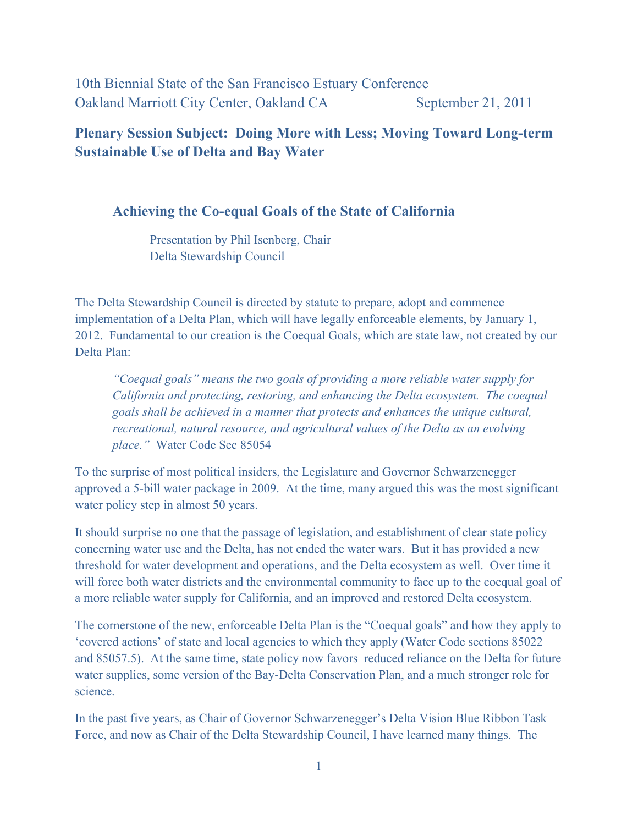10th Biennial State of the San Francisco Estuary Conference Oakland Marriott City Center, Oakland CA September 21, 2011

**Plenary Session Subject: Doing More with Less; Moving Toward Long-term Sustainable Use of Delta and Bay Water**

#### **Achieving the Co-equal Goals of the State of California**

Presentation by Phil Isenberg, Chair Delta Stewardship Council

The Delta Stewardship Council is directed by statute to prepare, adopt and commence implementation of a Delta Plan, which will have legally enforceable elements, by January 1, 2012. Fundamental to our creation is the Coequal Goals, which are state law, not created by our Delta Plan:

*"Coequal goals" means the two goals of providing a more reliable water supply for California and protecting, restoring, and enhancing the Delta ecosystem. The coequal goals shall be achieved in a manner that protects and enhances the unique cultural, recreational, natural resource, and agricultural values of the Delta as an evolving place."* Water Code Sec 85054

To the surprise of most political insiders, the Legislature and Governor Schwarzenegger approved a 5-bill water package in 2009. At the time, many argued this was the most significant water policy step in almost 50 years.

It should surprise no one that the passage of legislation, and establishment of clear state policy concerning water use and the Delta, has not ended the water wars. But it has provided a new threshold for water development and operations, and the Delta ecosystem as well. Over time it will force both water districts and the environmental community to face up to the coequal goal of a more reliable water supply for California, and an improved and restored Delta ecosystem.

The cornerstone of the new, enforceable Delta Plan is the "Coequal goals" and how they apply to 'covered actions' of state and local agencies to which they apply (Water Code sections 85022 and 85057.5). At the same time, state policy now favors reduced reliance on the Delta for future water supplies, some version of the Bay-Delta Conservation Plan, and a much stronger role for science.

In the past five years, as Chair of Governor Schwarzenegger's Delta Vision Blue Ribbon Task Force, and now as Chair of the Delta Stewardship Council, I have learned many things. The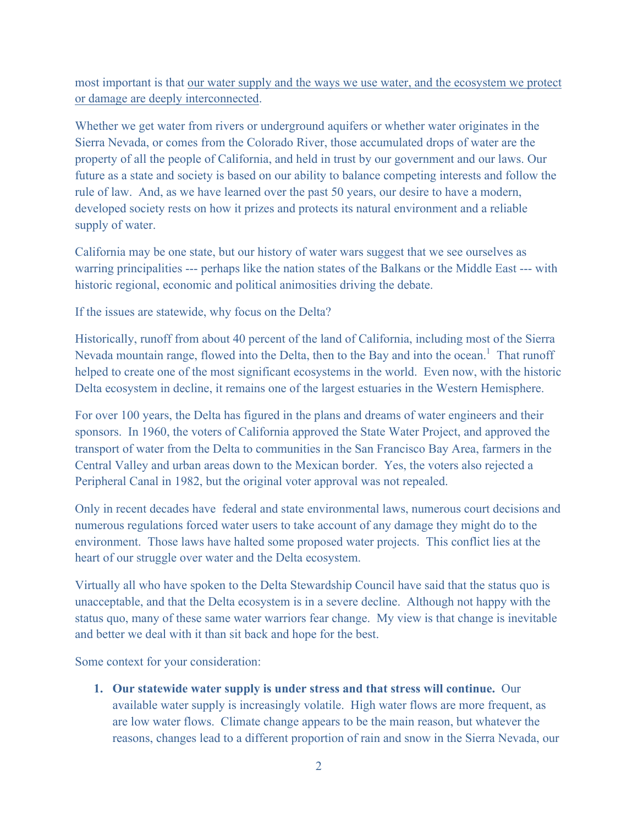most important is that our water supply and the ways we use water, and the ecosystem we protect or damage are deeply interconnected.

Whether we get water from rivers or underground aquifers or whether water originates in the Sierra Nevada, or comes from the Colorado River, those accumulated drops of water are the property of all the people of California, and held in trust by our government and our laws. Our future as a state and society is based on our ability to balance competing interests and follow the rule of law. And, as we have learned over the past 50 years, our desire to have a modern, developed society rests on how it prizes and protects its natural environment and a reliable supply of water.

California may be one state, but our history of water wars suggest that we see ourselves as warring principalities --- perhaps like the nation states of the Balkans or the Middle East --- with historic regional, economic and political animosities driving the debate.

If the issues are statewide, why focus on the Delta?

Historically, runoff from about 40 percent of the land of California, including most of the Sierra Nevada mountain range, flowed into the Delta, then to the Bay and into the ocean.<sup>1</sup> That runoff helped to create one of the most significant ecosystems in the world. Even now, with the historic Delta ecosystem in decline, it remains one of the largest estuaries in the Western Hemisphere.

For over 100 years, the Delta has figured in the plans and dreams of water engineers and their sponsors. In 1960, the voters of California approved the State Water Project, and approved the transport of water from the Delta to communities in the San Francisco Bay Area, farmers in the Central Valley and urban areas down to the Mexican border. Yes, the voters also rejected a Peripheral Canal in 1982, but the original voter approval was not repealed.

Only in recent decades have federal and state environmental laws, numerous court decisions and numerous regulations forced water users to take account of any damage they might do to the environment. Those laws have halted some proposed water projects. This conflict lies at the heart of our struggle over water and the Delta ecosystem.

Virtually all who have spoken to the Delta Stewardship Council have said that the status quo is unacceptable, and that the Delta ecosystem is in a severe decline. Although not happy with the status quo, many of these same water warriors fear change. My view is that change is inevitable and better we deal with it than sit back and hope for the best.

Some context for your consideration:

**1. Our statewide water supply is under stress and that stress will continue.** Our available water supply is increasingly volatile. High water flows are more frequent, as are low water flows. Climate change appears to be the main reason, but whatever the reasons, changes lead to a different proportion of rain and snow in the Sierra Nevada, our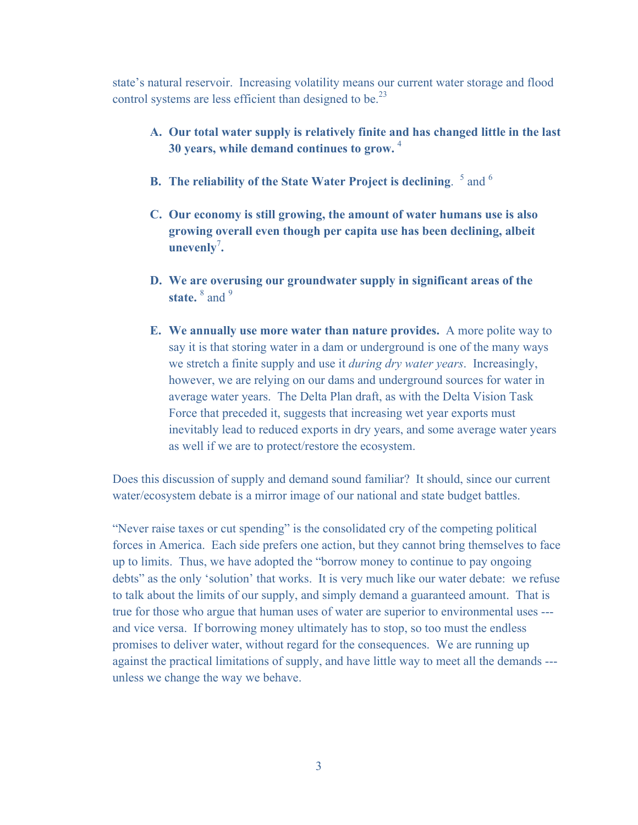state's natural reservoir. Increasing volatility means our current water storage and flood control systems are less efficient than designed to be.<sup>23</sup>

- **A. Our total water supply is relatively finite and has changed little in the last 30 years, while demand continues to grow.** <sup>4</sup>
- **B.** The reliability of the State Water Project is declining. <sup>5</sup> and <sup>6</sup>
- **C. Our economy is still growing, the amount of water humans use is also growing overall even though per capita use has been declining, albeit unevenly**<sup>7</sup> **.**
- **D. We are overusing our groundwater supply in significant areas of the**  state. <sup>8</sup> and <sup>9</sup>
- **E. We annually use more water than nature provides.** A more polite way to say it is that storing water in a dam or underground is one of the many ways we stretch a finite supply and use it *during dry water years*. Increasingly, however, we are relying on our dams and underground sources for water in average water years. The Delta Plan draft, as with the Delta Vision Task Force that preceded it, suggests that increasing wet year exports must inevitably lead to reduced exports in dry years, and some average water years as well if we are to protect/restore the ecosystem.

Does this discussion of supply and demand sound familiar? It should, since our current water/ecosystem debate is a mirror image of our national and state budget battles.

"Never raise taxes or cut spending" is the consolidated cry of the competing political forces in America. Each side prefers one action, but they cannot bring themselves to face up to limits. Thus, we have adopted the "borrow money to continue to pay ongoing debts" as the only 'solution' that works. It is very much like our water debate: we refuse to talk about the limits of our supply, and simply demand a guaranteed amount. That is true for those who argue that human uses of water are superior to environmental uses -- and vice versa. If borrowing money ultimately has to stop, so too must the endless promises to deliver water, without regard for the consequences. We are running up against the practical limitations of supply, and have little way to meet all the demands -- unless we change the way we behave.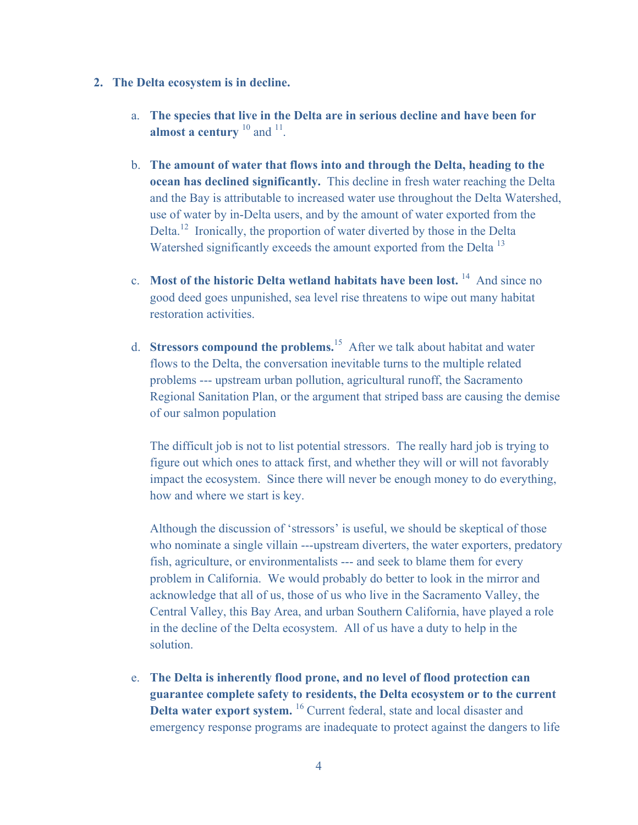- **2. The Delta ecosystem is in decline.**
	- a. **The species that live in the Delta are in serious decline and have been for almost a century** <sup>10</sup> and <sup>11</sup>.
	- b. **The amount of water that flows into and through the Delta, heading to the ocean has declined significantly.** This decline in fresh water reaching the Delta and the Bay is attributable to increased water use throughout the Delta Watershed, use of water by in-Delta users, and by the amount of water exported from the Delta.<sup>12</sup> Ironically, the proportion of water diverted by those in the Delta Watershed significantly exceeds the amount exported from the Delta<sup>13</sup>
	- c. **Most of the historic Delta wetland habitats have been lost.** 14 And since no good deed goes unpunished, sea level rise threatens to wipe out many habitat restoration activities.
	- d. **Stressors compound the problems.**<sup>15</sup>After we talk about habitat and water flows to the Delta, the conversation inevitable turns to the multiple related problems --- upstream urban pollution, agricultural runoff, the Sacramento Regional Sanitation Plan, or the argument that striped bass are causing the demise of our salmon population

The difficult job is not to list potential stressors. The really hard job is trying to figure out which ones to attack first, and whether they will or will not favorably impact the ecosystem. Since there will never be enough money to do everything, how and where we start is key.

Although the discussion of 'stressors' is useful, we should be skeptical of those who nominate a single villain ---upstream diverters, the water exporters, predatory fish, agriculture, or environmentalists --- and seek to blame them for every problem in California. We would probably do better to look in the mirror and acknowledge that all of us, those of us who live in the Sacramento Valley, the Central Valley, this Bay Area, and urban Southern California, have played a role in the decline of the Delta ecosystem. All of us have a duty to help in the solution.

e. **The Delta is inherently flood prone, and no level of flood protection can guarantee complete safety to residents, the Delta ecosystem or to the current Delta water export system.** <sup>16</sup> Current federal, state and local disaster and emergency response programs are inadequate to protect against the dangers to life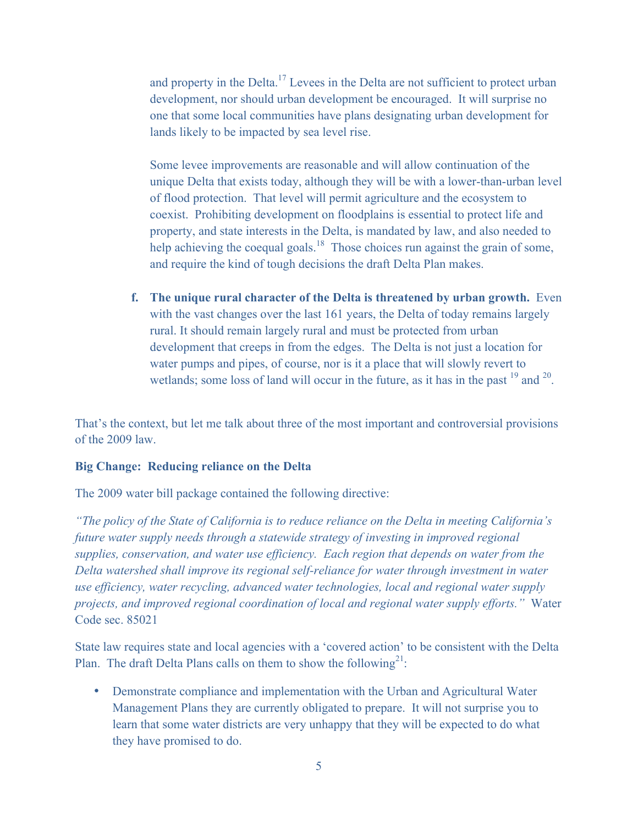and property in the Delta.17 Levees in the Delta are not sufficient to protect urban development, nor should urban development be encouraged. It will surprise no one that some local communities have plans designating urban development for lands likely to be impacted by sea level rise.

Some levee improvements are reasonable and will allow continuation of the unique Delta that exists today, although they will be with a lower-than-urban level of flood protection. That level will permit agriculture and the ecosystem to coexist. Prohibiting development on floodplains is essential to protect life and property, and state interests in the Delta, is mandated by law, and also needed to help achieving the coequal goals.<sup>18</sup> Those choices run against the grain of some, and require the kind of tough decisions the draft Delta Plan makes.

**f. The unique rural character of the Delta is threatened by urban growth.** Even with the vast changes over the last 161 years, the Delta of today remains largely rural. It should remain largely rural and must be protected from urban development that creeps in from the edges. The Delta is not just a location for water pumps and pipes, of course, nor is it a place that will slowly revert to wetlands; some loss of land will occur in the future, as it has in the past  $^{19}$  and  $^{20}$ .

That's the context, but let me talk about three of the most important and controversial provisions of the 2009 law.

#### **Big Change: Reducing reliance on the Delta**

The 2009 water bill package contained the following directive:

*"The policy of the State of California is to reduce reliance on the Delta in meeting California's future water supply needs through a statewide strategy of investing in improved regional supplies, conservation, and water use efficiency. Each region that depends on water from the Delta watershed shall improve its regional self-reliance for water through investment in water use efficiency, water recycling, advanced water technologies, local and regional water supply projects, and improved regional coordination of local and regional water supply efforts."* Water Code sec. 85021

State law requires state and local agencies with a 'covered action' to be consistent with the Delta Plan. The draft Delta Plans calls on them to show the following<sup>21</sup>:

• Demonstrate compliance and implementation with the Urban and Agricultural Water Management Plans they are currently obligated to prepare. It will not surprise you to learn that some water districts are very unhappy that they will be expected to do what they have promised to do.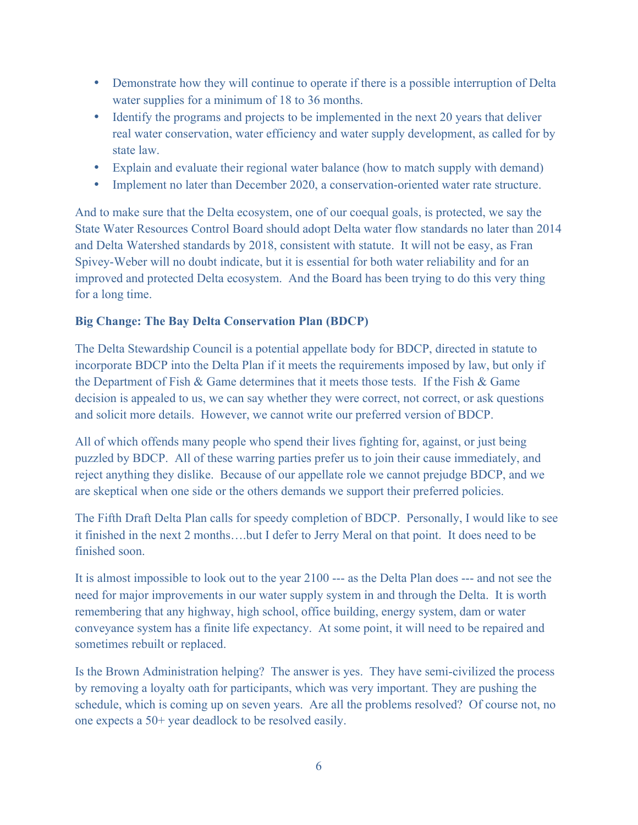- Demonstrate how they will continue to operate if there is a possible interruption of Delta water supplies for a minimum of 18 to 36 months.
- Identify the programs and projects to be implemented in the next 20 years that deliver real water conservation, water efficiency and water supply development, as called for by state law.
- Explain and evaluate their regional water balance (how to match supply with demand)
- Implement no later than December 2020, a conservation-oriented water rate structure.

And to make sure that the Delta ecosystem, one of our coequal goals, is protected, we say the State Water Resources Control Board should adopt Delta water flow standards no later than 2014 and Delta Watershed standards by 2018, consistent with statute. It will not be easy, as Fran Spivey-Weber will no doubt indicate, but it is essential for both water reliability and for an improved and protected Delta ecosystem. And the Board has been trying to do this very thing for a long time.

## **Big Change: The Bay Delta Conservation Plan (BDCP)**

The Delta Stewardship Council is a potential appellate body for BDCP, directed in statute to incorporate BDCP into the Delta Plan if it meets the requirements imposed by law, but only if the Department of Fish & Game determines that it meets those tests. If the Fish & Game decision is appealed to us, we can say whether they were correct, not correct, or ask questions and solicit more details. However, we cannot write our preferred version of BDCP.

All of which offends many people who spend their lives fighting for, against, or just being puzzled by BDCP. All of these warring parties prefer us to join their cause immediately, and reject anything they dislike. Because of our appellate role we cannot prejudge BDCP, and we are skeptical when one side or the others demands we support their preferred policies.

The Fifth Draft Delta Plan calls for speedy completion of BDCP. Personally, I would like to see it finished in the next 2 months….but I defer to Jerry Meral on that point. It does need to be finished soon.

It is almost impossible to look out to the year 2100 --- as the Delta Plan does --- and not see the need for major improvements in our water supply system in and through the Delta. It is worth remembering that any highway, high school, office building, energy system, dam or water conveyance system has a finite life expectancy. At some point, it will need to be repaired and sometimes rebuilt or replaced.

Is the Brown Administration helping? The answer is yes. They have semi-civilized the process by removing a loyalty oath for participants, which was very important. They are pushing the schedule, which is coming up on seven years. Are all the problems resolved? Of course not, no one expects a 50+ year deadlock to be resolved easily.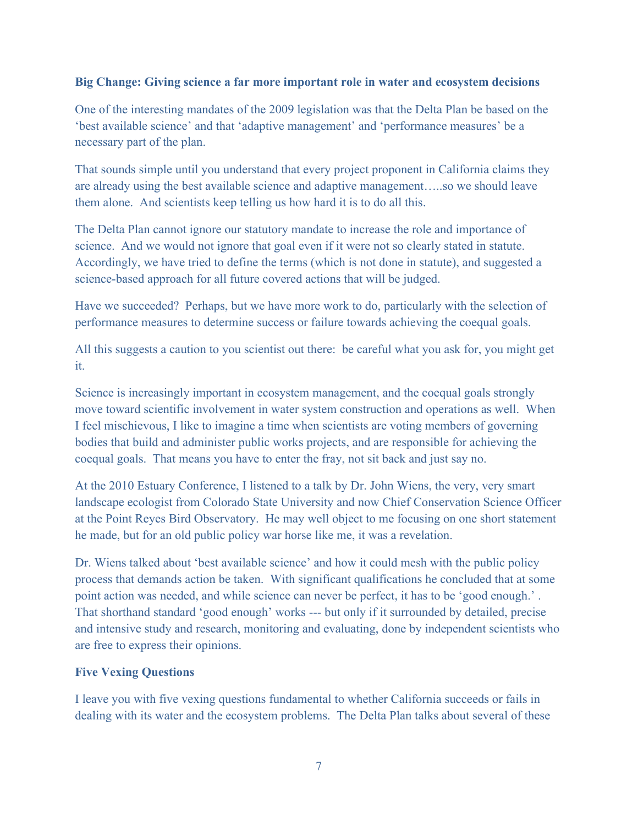#### **Big Change: Giving science a far more important role in water and ecosystem decisions**

One of the interesting mandates of the 2009 legislation was that the Delta Plan be based on the 'best available science' and that 'adaptive management' and 'performance measures' be a necessary part of the plan.

That sounds simple until you understand that every project proponent in California claims they are already using the best available science and adaptive management…..so we should leave them alone. And scientists keep telling us how hard it is to do all this.

The Delta Plan cannot ignore our statutory mandate to increase the role and importance of science. And we would not ignore that goal even if it were not so clearly stated in statute. Accordingly, we have tried to define the terms (which is not done in statute), and suggested a science-based approach for all future covered actions that will be judged.

Have we succeeded? Perhaps, but we have more work to do, particularly with the selection of performance measures to determine success or failure towards achieving the coequal goals.

All this suggests a caution to you scientist out there: be careful what you ask for, you might get it.

Science is increasingly important in ecosystem management, and the coequal goals strongly move toward scientific involvement in water system construction and operations as well. When I feel mischievous, I like to imagine a time when scientists are voting members of governing bodies that build and administer public works projects, and are responsible for achieving the coequal goals. That means you have to enter the fray, not sit back and just say no.

At the 2010 Estuary Conference, I listened to a talk by Dr. John Wiens, the very, very smart landscape ecologist from Colorado State University and now Chief Conservation Science Officer at the Point Reyes Bird Observatory. He may well object to me focusing on one short statement he made, but for an old public policy war horse like me, it was a revelation.

Dr. Wiens talked about 'best available science' and how it could mesh with the public policy process that demands action be taken. With significant qualifications he concluded that at some point action was needed, and while science can never be perfect, it has to be 'good enough.' . That shorthand standard 'good enough' works --- but only if it surrounded by detailed, precise and intensive study and research, monitoring and evaluating, done by independent scientists who are free to express their opinions.

## **Five Vexing Questions**

I leave you with five vexing questions fundamental to whether California succeeds or fails in dealing with its water and the ecosystem problems. The Delta Plan talks about several of these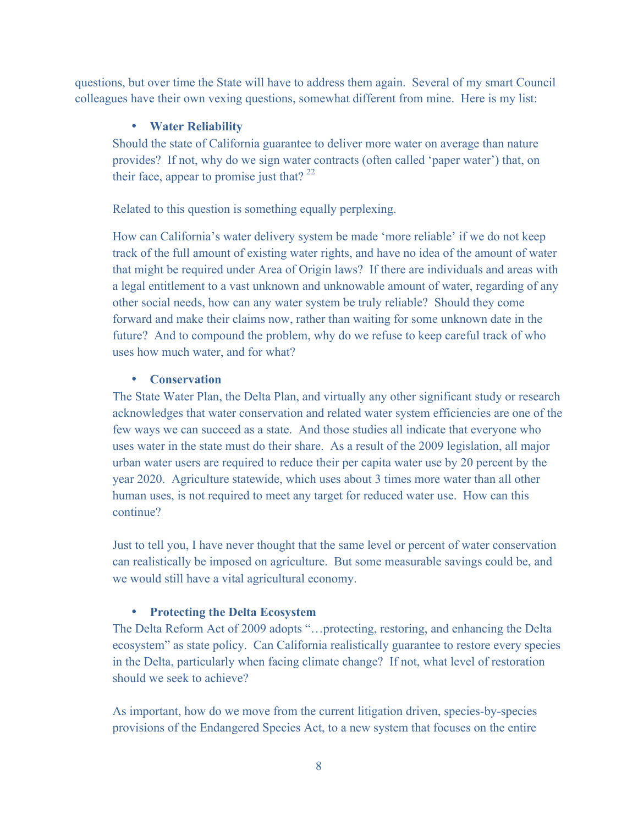questions, but over time the State will have to address them again. Several of my smart Council colleagues have their own vexing questions, somewhat different from mine. Here is my list:

#### • **Water Reliability**

Should the state of California guarantee to deliver more water on average than nature provides? If not, why do we sign water contracts (often called 'paper water') that, on their face, appear to promise just that?  $^{22}$ 

Related to this question is something equally perplexing.

How can California's water delivery system be made 'more reliable' if we do not keep track of the full amount of existing water rights, and have no idea of the amount of water that might be required under Area of Origin laws? If there are individuals and areas with a legal entitlement to a vast unknown and unknowable amount of water, regarding of any other social needs, how can any water system be truly reliable? Should they come forward and make their claims now, rather than waiting for some unknown date in the future? And to compound the problem, why do we refuse to keep careful track of who uses how much water, and for what?

#### • **Conservation**

The State Water Plan, the Delta Plan, and virtually any other significant study or research acknowledges that water conservation and related water system efficiencies are one of the few ways we can succeed as a state. And those studies all indicate that everyone who uses water in the state must do their share. As a result of the 2009 legislation, all major urban water users are required to reduce their per capita water use by 20 percent by the year 2020. Agriculture statewide, which uses about 3 times more water than all other human uses, is not required to meet any target for reduced water use. How can this continue?

Just to tell you, I have never thought that the same level or percent of water conservation can realistically be imposed on agriculture. But some measurable savings could be, and we would still have a vital agricultural economy.

## • **Protecting the Delta Ecosystem**

The Delta Reform Act of 2009 adopts "…protecting, restoring, and enhancing the Delta ecosystem" as state policy. Can California realistically guarantee to restore every species in the Delta, particularly when facing climate change? If not, what level of restoration should we seek to achieve?

As important, how do we move from the current litigation driven, species-by-species provisions of the Endangered Species Act, to a new system that focuses on the entire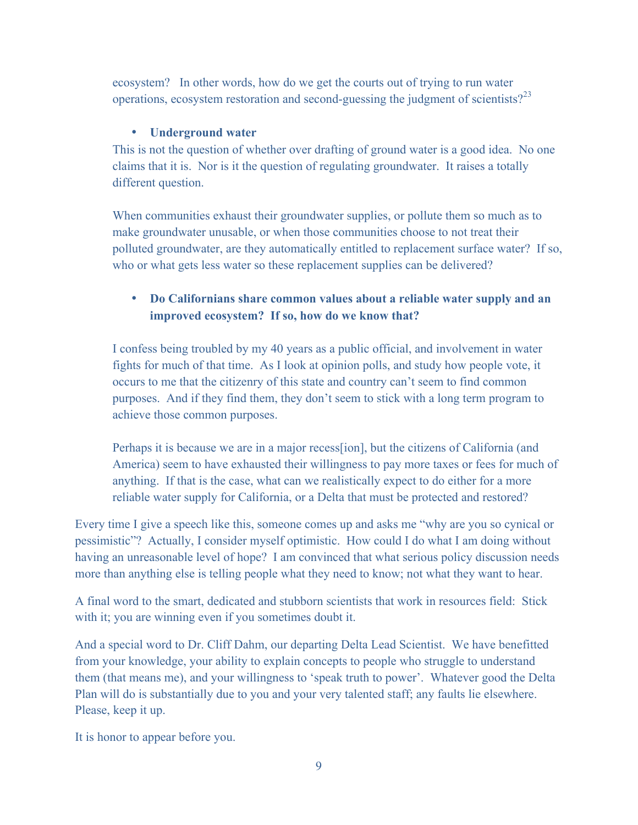ecosystem? In other words, how do we get the courts out of trying to run water operations, ecosystem restoration and second-guessing the judgment of scientists? $2<sup>3</sup>$ 

## • **Underground water**

This is not the question of whether over drafting of ground water is a good idea. No one claims that it is. Nor is it the question of regulating groundwater. It raises a totally different question.

When communities exhaust their groundwater supplies, or pollute them so much as to make groundwater unusable, or when those communities choose to not treat their polluted groundwater, are they automatically entitled to replacement surface water? If so, who or what gets less water so these replacement supplies can be delivered?

# • **Do Californians share common values about a reliable water supply and an improved ecosystem? If so, how do we know that?**

I confess being troubled by my 40 years as a public official, and involvement in water fights for much of that time. As I look at opinion polls, and study how people vote, it occurs to me that the citizenry of this state and country can't seem to find common purposes. And if they find them, they don't seem to stick with a long term program to achieve those common purposes.

Perhaps it is because we are in a major recess[ion], but the citizens of California (and America) seem to have exhausted their willingness to pay more taxes or fees for much of anything. If that is the case, what can we realistically expect to do either for a more reliable water supply for California, or a Delta that must be protected and restored?

Every time I give a speech like this, someone comes up and asks me "why are you so cynical or pessimistic"? Actually, I consider myself optimistic. How could I do what I am doing without having an unreasonable level of hope? I am convinced that what serious policy discussion needs more than anything else is telling people what they need to know; not what they want to hear.

A final word to the smart, dedicated and stubborn scientists that work in resources field: Stick with it; you are winning even if you sometimes doubt it.

And a special word to Dr. Cliff Dahm, our departing Delta Lead Scientist. We have benefitted from your knowledge, your ability to explain concepts to people who struggle to understand them (that means me), and your willingness to 'speak truth to power'. Whatever good the Delta Plan will do is substantially due to you and your very talented staff; any faults lie elsewhere. Please, keep it up.

It is honor to appear before you.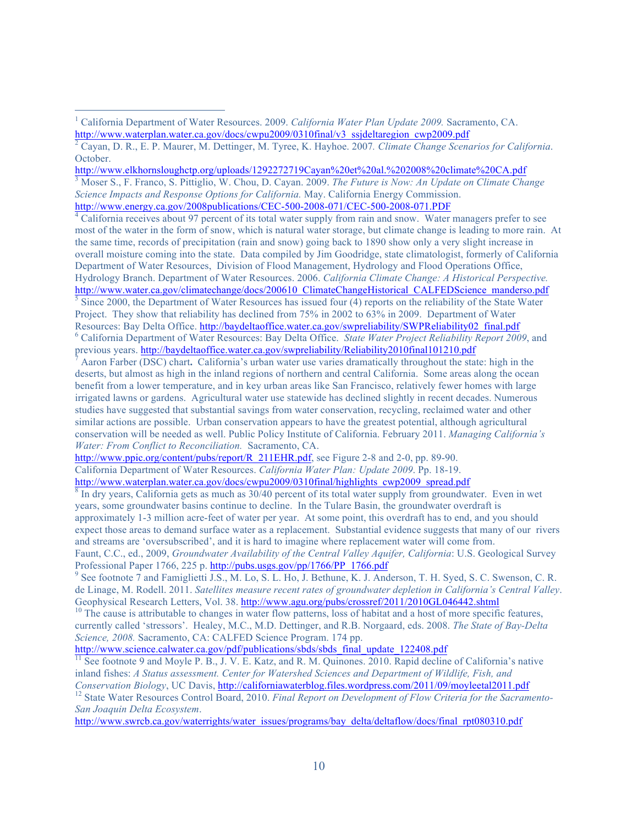http://www.elkhornsloughctp.org/uploads/1292272719Cayan%20et%20al.%202008%20climate%20CA.pdf

<sup>3</sup> Moser S., F. Franco, S. Pittiglio, W. Chou, D. Cayan. 2009. *The Future is Now: An Update on Climate Change Science Impacts and Response Options for California.* May. California Energy Commission.

<sup>4</sup> California receives about 97 percent of its total water supply from rain and snow. Water managers prefer to see most of the water in the form of snow, which is natural water storage, but climate change is leading to more rain. At the same time, records of precipitation (rain and snow) going back to 1890 show only a very slight increase in

overall moisture coming into the state. Data compiled by Jim Goodridge, state climatologist, formerly of California Department of Water Resources, Division of Flood Management, Hydrology and Flood Operations Office, Hydrology Branch. Department of Water Resources. 2006. *California Climate Change: A Historical Perspective.*

http://www.water.ca.gov/climatechange/docs/200610\_ClimateChangeHistorical\_CALFEDScience\_manderso.pdf  $<sup>5</sup>$  Since 2000, the Department of Water Resources has issued four (4) reports on the reliability of the State Water</sup> Project. They show that reliability has declined from 75% in 2002 to 63% in 2009. Department of Water Resources: Bay Delta Office. http://baydeltaoffice.water.ca.gov/swpreliability/SWPReliability02\_final.pdf <sup>6</sup> California Department of Water Resources: Bay Delta Office. *State Water Project Reliability Report 2009*, and p

Aaron Farber (DSC) chart. California's urban water use varies dramatically throughout the state: high in the deserts, but almost as high in the inland regions of northern and central California. Some areas along the ocean benefit from a lower temperature, and in key urban areas like San Francisco, relatively fewer homes with large irrigated lawns or gardens. Agricultural water use statewide has declined slightly in recent decades. Numerous studies have suggested that substantial savings from water conservation, recycling, reclaimed water and other similar actions are possible. Urban conservation appears to have the greatest potential, although agricultural conservation will be needed as well. Public Policy Institute of California. February 2011. *Managing California's Water: From Conflict to Reconciliation.* Sacramento, CA.

http://www.ppic.org/content/pubs/report/R\_211EHR.pdf, see Figure 2-8 and 2-0, pp. 89-90.

California Department of Water Resources. *California Water Plan: Update 2009*. Pp. 18-19. http://www.waterplan.water.ca.gov/docs/cwpu2009/0310final/highlights\_cwp2009\_spread.pdf

 $8 \text{ In dry years, California gets as much as } 30/40 \text{ percent of its total water supply from groundwater. Even in wet.}$ years, some groundwater basins continue to decline. In the Tulare Basin, the groundwater overdraft is approximately 1-3 million acre-feet of water per year. At some point, this overdraft has to end, and you should expect those areas to demand surface water as a replacement. Substantial evidence suggests that many of our rivers and streams are 'oversubscribed', and it is hard to imagine where replacement water will come from.

Faunt, C.C., ed., 2009, *Groundwater Availability of the Central Valley Aquifer, California*: U.S. Geological Survey Professional Paper 1766, 225 p. http://pubs.usgs.gov/pp/1766/PP\_1766.pdf<br>
<sup>9</sup> See footnote 7 and Famiglietti J.S., M. Lo, S. L. Ho, J. Bethune, K. J. Anderson, T. H. Syed, S. C. Swenson, C. R.

de Linage, M. Rodell. 2011. *Satellites measure recent rates of groundwater depletion in California's Central Valley*.<br>Geophysical Research Letters, Vol. 38. http://www.agu.org/pubs/crossref/2011/2010GL046442.shtml

 $^{10}$  The cause is attributable to changes in water flow patterns, loss of habitat and a host of more specific features, currently called 'stressors'. Healey, M.C., M.D. Dettinger, and R.B. Norgaard, eds. 2008. *The State of Bay-Delta Science, 2008.* Sacramento, CA: CALFED Science Program. 174 pp.

http://www.science.calwater.ca.gov/pdf/publications/sbds/sbds\_final\_update\_122408.pdf

 $<sup>11</sup>$  See footnote 9 and Moyle P. B., J. V. E. Katz, and R. M. Quinones. 2010. Rapid decline of California's native</sup> inland fishes: *A Status assessment. Center for Watershed Sciences and Department of Wildlife, Fish, and Conservation Biology*, UC Davis, http://californiawaterblog.files.wordpress.com/2011/09/moyleetal2011.pdf

<sup>12</sup> State Water Resources Control Board, 2010. Final Report on Development of Flow Criteria for the Sacramento-*San Joaquin Delta Ecosystem*.

http://www.swrcb.ca.gov/waterrights/water\_issues/programs/bay\_delta/deltaflow/docs/final\_rpt080310.pdf

 <sup>1</sup> California Department of Water Resources. 2009. *California Water Plan Update 2009.* Sacramento, CA. http://www.waterplan.water.ca.gov/docs/cwpu2009/0310final/v3\_ssideltaregion\_cwp2009.pdf

<sup>2</sup> Cayan, D. R., E. P. Maurer, M. Dettinger, M. Tyree, K. Hayhoe. 2007*. Climate Change Scenarios for California*. October.